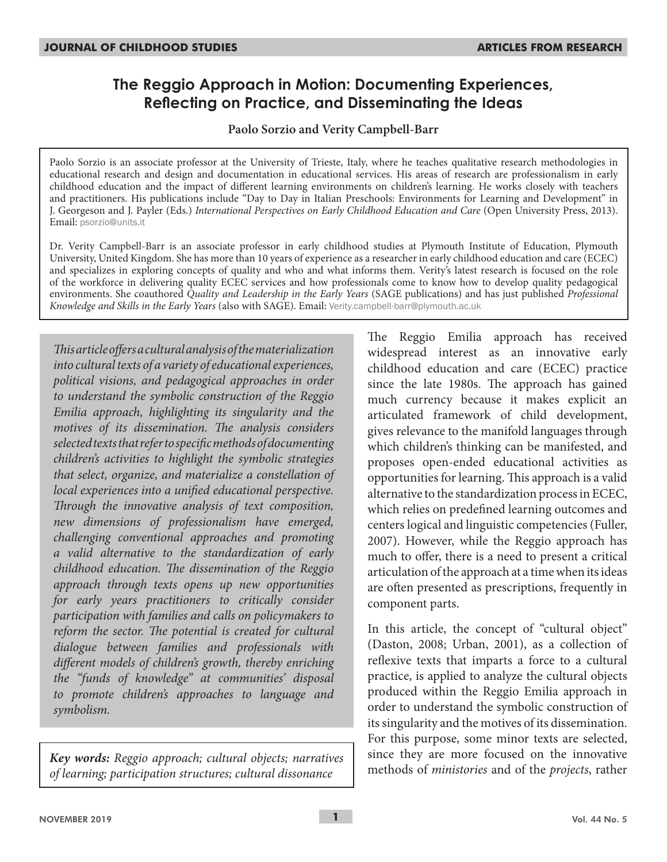# **The Reggio Approach in Motion: Documenting Experiences, Reflecting on Practice, and Disseminating the Ideas**

### **Paolo Sorzio and Verity Campbell-Barr**

Paolo Sorzio is an associate professor at the University of Trieste, Italy, where he teaches qualitative research methodologies in educational research and design and documentation in educational services. His areas of research are professionalism in early childhood education and the impact of different learning environments on children's learning. He works closely with teachers and practitioners. His publications include "Day to Day in Italian Preschools: Environments for Learning and Development" in J. Georgeson and J. Payler (Eds.) *International Perspectives on Early Childhood Education and Care* (Open University Press, 2013). Email: psorzio@units.it

Dr. Verity Campbell-Barr is an associate professor in early childhood studies at Plymouth Institute of Education, Plymouth University, United Kingdom. She has more than 10 years of experience as a researcher in early childhood education and care (ECEC) and specializes in exploring concepts of quality and who and what informs them. Verity's latest research is focused on the role of the workforce in delivering quality ECEC services and how professionals come to know how to develop quality pedagogical environments. She coauthored *Quality and Leadership in the Early Years* (SAGE publications) and has just published *Professional Knowledge and Skills in the Early Years* (also with SAGE). Email: Verity.campbell-barr@plymouth.ac.uk

*This article offers a cultural analysis of the materialization into cultural texts of a variety of educational experiences, political visions, and pedagogical approaches in order to understand the symbolic construction of the Reggio Emilia approach, highlighting its singularity and the motives of its dissemination. The analysis considers selected texts that refer to specific methods of documenting children's activities to highlight the symbolic strategies that select, organize, and materialize a constellation of local experiences into a unified educational perspective. Through the innovative analysis of text composition, new dimensions of professionalism have emerged, challenging conventional approaches and promoting a valid alternative to the standardization of early childhood education. The dissemination of the Reggio approach through texts opens up new opportunities for early years practitioners to critically consider participation with families and calls on policymakers to reform the sector. The potential is created for cultural dialogue between families and professionals with different models of children's growth, thereby enriching the "funds of knowledge" at communities' disposal to promote children's approaches to language and symbolism.*

*Key words: Reggio approach; cultural objects; narratives of learning; participation structures; cultural dissonance*

The Reggio Emilia approach has received widespread interest as an innovative early childhood education and care (ECEC) practice since the late 1980s. The approach has gained much currency because it makes explicit an articulated framework of child development, gives relevance to the manifold languages through which children's thinking can be manifested, and proposes open-ended educational activities as opportunities for learning. This approach is a valid alternative to the standardization process in ECEC, which relies on predefined learning outcomes and centers logical and linguistic competencies (Fuller, 2007). However, while the Reggio approach has much to offer, there is a need to present a critical articulation of the approach at a time when its ideas are often presented as prescriptions, frequently in component parts.

In this article, the concept of "cultural object" (Daston, 2008; Urban, 2001), as a collection of reflexive texts that imparts a force to a cultural practice, is applied to analyze the cultural objects produced within the Reggio Emilia approach in order to understand the symbolic construction of its singularity and the motives of its dissemination. For this purpose, some minor texts are selected, since they are more focused on the innovative methods of *ministories* and of the *projects*, rather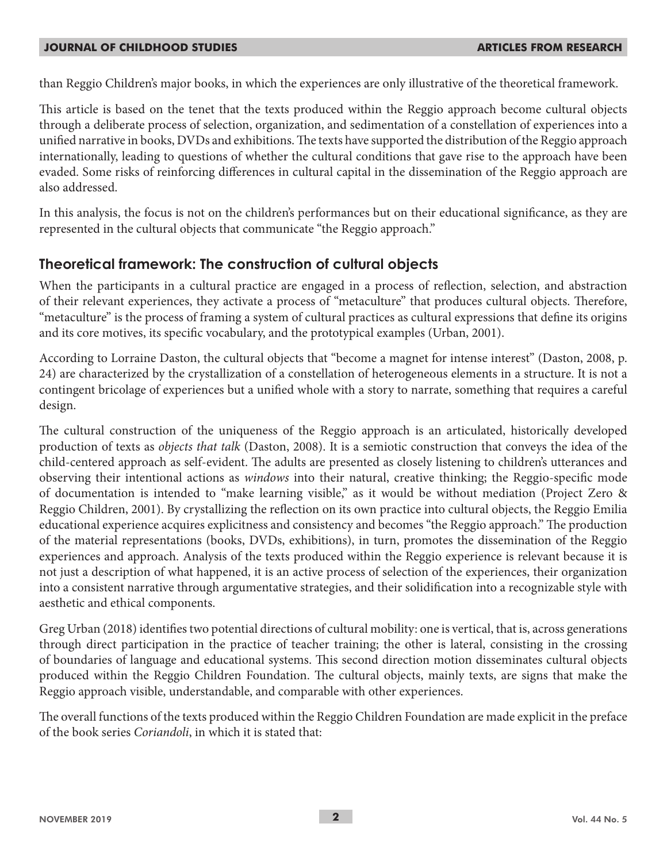than Reggio Children's major books, in which the experiences are only illustrative of the theoretical framework.

This article is based on the tenet that the texts produced within the Reggio approach become cultural objects through a deliberate process of selection, organization, and sedimentation of a constellation of experiences into a unified narrative in books, DVDs and exhibitions. The texts have supported the distribution of the Reggio approach internationally, leading to questions of whether the cultural conditions that gave rise to the approach have been evaded. Some risks of reinforcing differences in cultural capital in the dissemination of the Reggio approach are also addressed.

In this analysis, the focus is not on the children's performances but on their educational significance, as they are represented in the cultural objects that communicate "the Reggio approach."

## **Theoretical framework: The construction of cultural objects**

When the participants in a cultural practice are engaged in a process of reflection, selection, and abstraction of their relevant experiences, they activate a process of "metaculture" that produces cultural objects. Therefore, "metaculture" is the process of framing a system of cultural practices as cultural expressions that define its origins and its core motives, its specific vocabulary, and the prototypical examples (Urban, 2001).

According to Lorraine Daston, the cultural objects that "become a magnet for intense interest" (Daston, 2008, p. 24) are characterized by the crystallization of a constellation of heterogeneous elements in a structure. It is not a contingent bricolage of experiences but a unified whole with a story to narrate, something that requires a careful design.

The cultural construction of the uniqueness of the Reggio approach is an articulated, historically developed production of texts as *objects that talk* (Daston, 2008). It is a semiotic construction that conveys the idea of the child-centered approach as self-evident. The adults are presented as closely listening to children's utterances and observing their intentional actions as *windows* into their natural, creative thinking; the Reggio-specific mode of documentation is intended to "make learning visible," as it would be without mediation (Project Zero & Reggio Children, 2001). By crystallizing the reflection on its own practice into cultural objects, the Reggio Emilia educational experience acquires explicitness and consistency and becomes "the Reggio approach." The production of the material representations (books, DVDs, exhibitions), in turn, promotes the dissemination of the Reggio experiences and approach. Analysis of the texts produced within the Reggio experience is relevant because it is not just a description of what happened, it is an active process of selection of the experiences, their organization into a consistent narrative through argumentative strategies, and their solidification into a recognizable style with aesthetic and ethical components.

Greg Urban (2018) identifies two potential directions of cultural mobility: one is vertical, that is, across generations through direct participation in the practice of teacher training; the other is lateral, consisting in the crossing of boundaries of language and educational systems. This second direction motion disseminates cultural objects produced within the Reggio Children Foundation. The cultural objects, mainly texts, are signs that make the Reggio approach visible, understandable, and comparable with other experiences.

The overall functions of the texts produced within the Reggio Children Foundation are made explicit in the preface of the book series *Coriandoli*, in which it is stated that: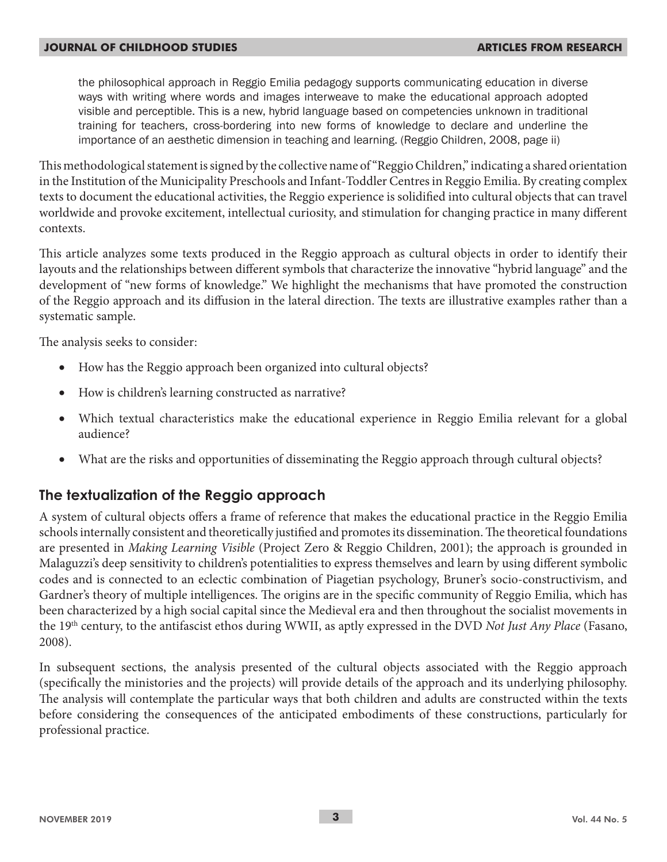the philosophical approach in Reggio Emilia pedagogy supports communicating education in diverse ways with writing where words and images interweave to make the educational approach adopted visible and perceptible. This is a new, hybrid language based on competencies unknown in traditional training for teachers, cross-bordering into new forms of knowledge to declare and underline the importance of an aesthetic dimension in teaching and learning. (Reggio Children, 2008, page ii)

This methodological statement is signed by the collective name of "Reggio Children," indicating a shared orientation in the Institution of the Municipality Preschools and Infant-Toddler Centres in Reggio Emilia. By creating complex texts to document the educational activities, the Reggio experience is solidified into cultural objects that can travel worldwide and provoke excitement, intellectual curiosity, and stimulation for changing practice in many different contexts.

This article analyzes some texts produced in the Reggio approach as cultural objects in order to identify their layouts and the relationships between different symbols that characterize the innovative "hybrid language" and the development of "new forms of knowledge." We highlight the mechanisms that have promoted the construction of the Reggio approach and its diffusion in the lateral direction. The texts are illustrative examples rather than a systematic sample.

The analysis seeks to consider:

- How has the Reggio approach been organized into cultural objects?
- How is children's learning constructed as narrative?
- Which textual characteristics make the educational experience in Reggio Emilia relevant for a global audience?
- What are the risks and opportunities of disseminating the Reggio approach through cultural objects?

### **The textualization of the Reggio approach**

A system of cultural objects offers a frame of reference that makes the educational practice in the Reggio Emilia schools internally consistent and theoretically justified and promotes its dissemination. The theoretical foundations are presented in *Making Learning Visible* (Project Zero & Reggio Children, 2001); the approach is grounded in Malaguzzi's deep sensitivity to children's potentialities to express themselves and learn by using different symbolic codes and is connected to an eclectic combination of Piagetian psychology, Bruner's socio-constructivism, and Gardner's theory of multiple intelligences. The origins are in the specific community of Reggio Emilia, which has been characterized by a high social capital since the Medieval era and then throughout the socialist movements in the 19th century, to the antifascist ethos during WWII, as aptly expressed in the DVD *Not Just Any Place* (Fasano, 2008).

In subsequent sections, the analysis presented of the cultural objects associated with the Reggio approach (specifically the ministories and the projects) will provide details of the approach and its underlying philosophy. The analysis will contemplate the particular ways that both children and adults are constructed within the texts before considering the consequences of the anticipated embodiments of these constructions, particularly for professional practice.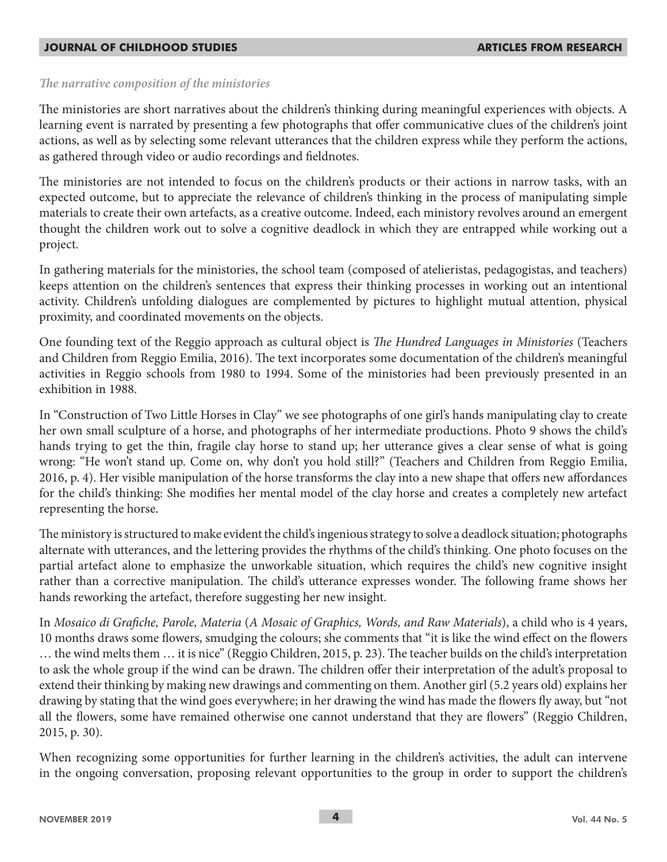### *The narrative composition of the ministories*

The ministories are short narratives about the children's thinking during meaningful experiences with objects. A learning event is narrated by presenting a few photographs that offer communicative clues of the children's joint actions, as well as by selecting some relevant utterances that the children express while they perform the actions, as gathered through video or audio recordings and fieldnotes.

The ministories are not intended to focus on the children's products or their actions in narrow tasks, with an expected outcome, but to appreciate the relevance of children's thinking in the process of manipulating simple materials to create their own artefacts, as a creative outcome. Indeed, each ministory revolves around an emergent thought the children work out to solve a cognitive deadlock in which they are entrapped while working out a project.

In gathering materials for the ministories, the school team (composed of atelieristas, pedagogistas, and teachers) keeps attention on the children's sentences that express their thinking processes in working out an intentional activity. Children's unfolding dialogues are complemented by pictures to highlight mutual attention, physical proximity, and coordinated movements on the objects.

One founding text of the Reggio approach as cultural object is *The Hundred Languages in Ministories* (Teachers and Children from Reggio Emilia, 2016). The text incorporates some documentation of the children's meaningful activities in Reggio schools from 1980 to 1994. Some of the ministories had been previously presented in an exhibition in 1988.

In "Construction of Two Little Horses in Clay" we see photographs of one girl's hands manipulating clay to create her own small sculpture of a horse, and photographs of her intermediate productions. Photo 9 shows the child's hands trying to get the thin, fragile clay horse to stand up; her utterance gives a clear sense of what is going wrong: "He won't stand up. Come on, why don't you hold still?" (Teachers and Children from Reggio Emilia, 2016, p. 4). Her visible manipulation of the horse transforms the clay into a new shape that offers new affordances for the child's thinking: She modifies her mental model of the clay horse and creates a completely new artefact representing the horse.

The ministory is structured to make evident the child's ingenious strategy to solve a deadlock situation; photographs alternate with utterances, and the lettering provides the rhythms of the child's thinking. One photo focuses on the partial artefact alone to emphasize the unworkable situation, which requires the child's new cognitive insight rather than a corrective manipulation. The child's utterance expresses wonder. The following frame shows her hands reworking the artefact, therefore suggesting her new insight.

In *Mosaico di Grafiche, Parole, Materia* (*A Mosaic of Graphics, Words, and Raw Materials*), a child who is 4 years, 10 months draws some flowers, smudging the colours; she comments that "it is like the wind effect on the flowers … the wind melts them … it is nice" (Reggio Children, 2015, p. 23). The teacher builds on the child's interpretation to ask the whole group if the wind can be drawn. The children offer their interpretation of the adult's proposal to extend their thinking by making new drawings and commenting on them. Another girl (5.2 years old) explains her drawing by stating that the wind goes everywhere; in her drawing the wind has made the flowers fly away, but "not all the flowers, some have remained otherwise one cannot understand that they are flowers" (Reggio Children, 2015, p. 30).

When recognizing some opportunities for further learning in the children's activities, the adult can intervene in the ongoing conversation, proposing relevant opportunities to the group in order to support the children's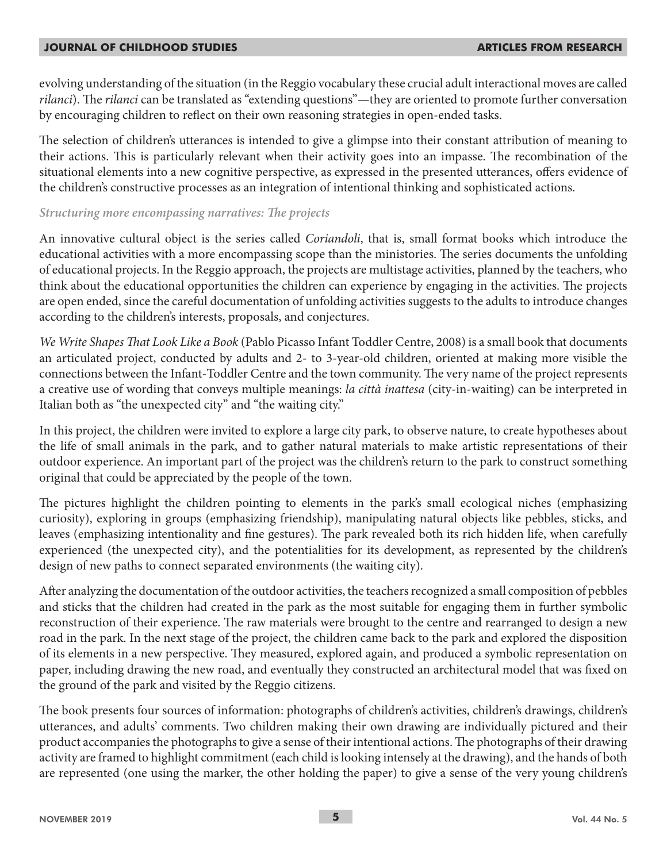evolving understanding of the situation (in the Reggio vocabulary these crucial adult interactional moves are called *rilanci*). The *rilanci* can be translated as "extending questions"—they are oriented to promote further conversation by encouraging children to reflect on their own reasoning strategies in open-ended tasks.

The selection of children's utterances is intended to give a glimpse into their constant attribution of meaning to their actions. This is particularly relevant when their activity goes into an impasse. The recombination of the situational elements into a new cognitive perspective, as expressed in the presented utterances, offers evidence of the children's constructive processes as an integration of intentional thinking and sophisticated actions.

### *Structuring more encompassing narratives: The projects*

An innovative cultural object is the series called *Coriandoli*, that is, small format books which introduce the educational activities with a more encompassing scope than the ministories. The series documents the unfolding of educational projects. In the Reggio approach, the projects are multistage activities, planned by the teachers, who think about the educational opportunities the children can experience by engaging in the activities. The projects are open ended, since the careful documentation of unfolding activities suggests to the adults to introduce changes according to the children's interests, proposals, and conjectures.

*We Write Shapes That Look Like a Book* (Pablo Picasso Infant Toddler Centre, 2008) is a small book that documents an articulated project, conducted by adults and 2- to 3-year-old children, oriented at making more visible the connections between the Infant-Toddler Centre and the town community. The very name of the project represents a creative use of wording that conveys multiple meanings: *la città inattesa* (city-in-waiting) can be interpreted in Italian both as "the unexpected city" and "the waiting city."

In this project, the children were invited to explore a large city park, to observe nature, to create hypotheses about the life of small animals in the park, and to gather natural materials to make artistic representations of their outdoor experience. An important part of the project was the children's return to the park to construct something original that could be appreciated by the people of the town.

The pictures highlight the children pointing to elements in the park's small ecological niches (emphasizing curiosity), exploring in groups (emphasizing friendship), manipulating natural objects like pebbles, sticks, and leaves (emphasizing intentionality and fine gestures). The park revealed both its rich hidden life, when carefully experienced (the unexpected city), and the potentialities for its development, as represented by the children's design of new paths to connect separated environments (the waiting city).

After analyzing the documentation of the outdoor activities, the teachers recognized a small composition of pebbles and sticks that the children had created in the park as the most suitable for engaging them in further symbolic reconstruction of their experience. The raw materials were brought to the centre and rearranged to design a new road in the park. In the next stage of the project, the children came back to the park and explored the disposition of its elements in a new perspective. They measured, explored again, and produced a symbolic representation on paper, including drawing the new road, and eventually they constructed an architectural model that was fixed on the ground of the park and visited by the Reggio citizens.

The book presents four sources of information: photographs of children's activities, children's drawings, children's utterances, and adults' comments. Two children making their own drawing are individually pictured and their product accompanies the photographs to give a sense of their intentional actions. The photographs of their drawing activity are framed to highlight commitment (each child is looking intensely at the drawing), and the hands of both are represented (one using the marker, the other holding the paper) to give a sense of the very young children's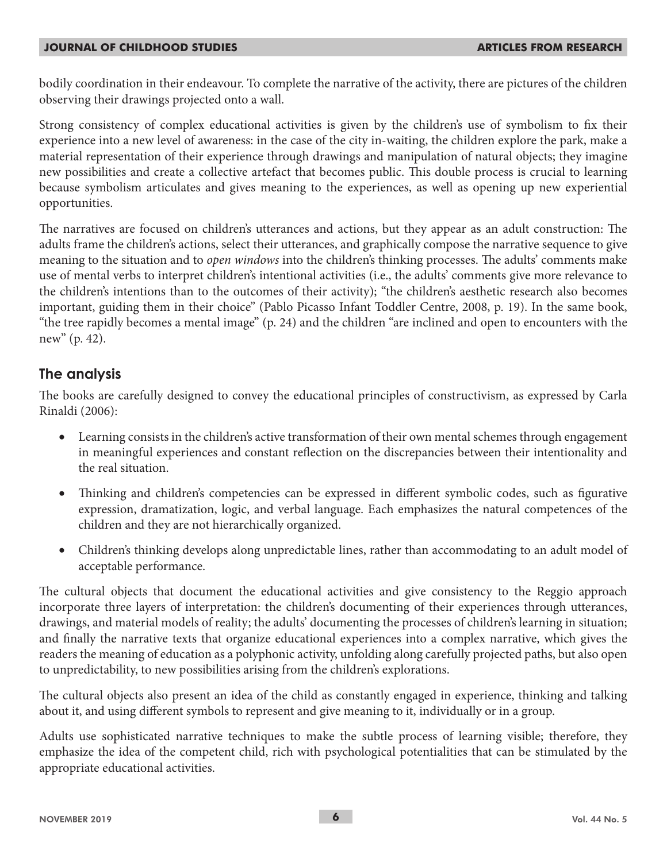bodily coordination in their endeavour. To complete the narrative of the activity, there are pictures of the children observing their drawings projected onto a wall.

Strong consistency of complex educational activities is given by the children's use of symbolism to fix their experience into a new level of awareness: in the case of the city in-waiting, the children explore the park, make a material representation of their experience through drawings and manipulation of natural objects; they imagine new possibilities and create a collective artefact that becomes public. This double process is crucial to learning because symbolism articulates and gives meaning to the experiences, as well as opening up new experiential opportunities.

The narratives are focused on children's utterances and actions, but they appear as an adult construction: The adults frame the children's actions, select their utterances, and graphically compose the narrative sequence to give meaning to the situation and to *open windows* into the children's thinking processes. The adults' comments make use of mental verbs to interpret children's intentional activities (i.e., the adults' comments give more relevance to the children's intentions than to the outcomes of their activity); "the children's aesthetic research also becomes important, guiding them in their choice" (Pablo Picasso Infant Toddler Centre, 2008, p. 19). In the same book, "the tree rapidly becomes a mental image" (p. 24) and the children "are inclined and open to encounters with the new" (p. 42).

### **The analysis**

The books are carefully designed to convey the educational principles of constructivism, as expressed by Carla Rinaldi (2006):

- Learning consists in the children's active transformation of their own mental schemes through engagement in meaningful experiences and constant reflection on the discrepancies between their intentionality and the real situation.
- Thinking and children's competencies can be expressed in different symbolic codes, such as figurative expression, dramatization, logic, and verbal language. Each emphasizes the natural competences of the children and they are not hierarchically organized.
- Children's thinking develops along unpredictable lines, rather than accommodating to an adult model of acceptable performance.

The cultural objects that document the educational activities and give consistency to the Reggio approach incorporate three layers of interpretation: the children's documenting of their experiences through utterances, drawings, and material models of reality; the adults' documenting the processes of children's learning in situation; and finally the narrative texts that organize educational experiences into a complex narrative, which gives the readers the meaning of education as a polyphonic activity, unfolding along carefully projected paths, but also open to unpredictability, to new possibilities arising from the children's explorations.

The cultural objects also present an idea of the child as constantly engaged in experience, thinking and talking about it, and using different symbols to represent and give meaning to it, individually or in a group.

Adults use sophisticated narrative techniques to make the subtle process of learning visible; therefore, they emphasize the idea of the competent child, rich with psychological potentialities that can be stimulated by the appropriate educational activities.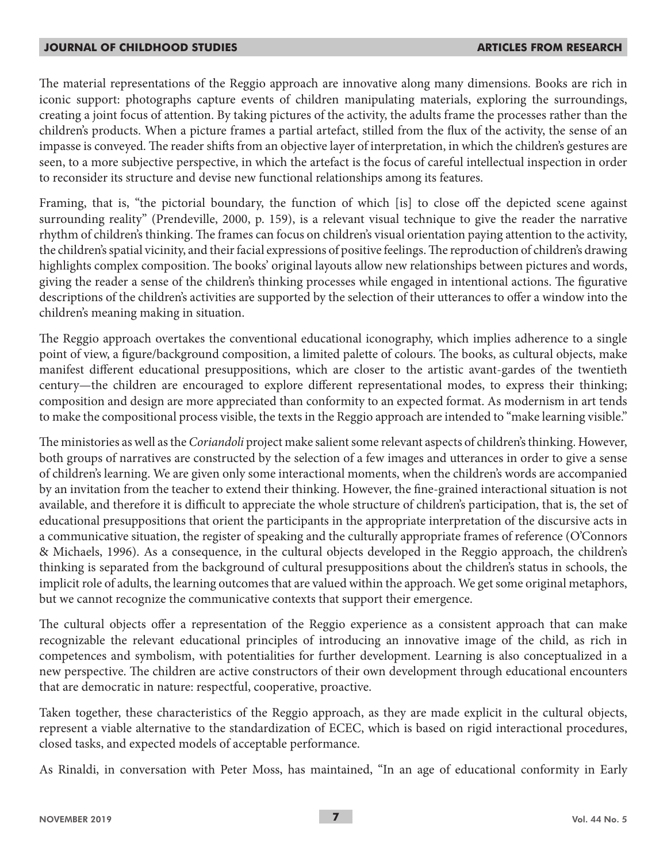The material representations of the Reggio approach are innovative along many dimensions. Books are rich in iconic support: photographs capture events of children manipulating materials, exploring the surroundings, creating a joint focus of attention. By taking pictures of the activity, the adults frame the processes rather than the children's products. When a picture frames a partial artefact, stilled from the flux of the activity, the sense of an impasse is conveyed. The reader shifts from an objective layer of interpretation, in which the children's gestures are seen, to a more subjective perspective, in which the artefact is the focus of careful intellectual inspection in order to reconsider its structure and devise new functional relationships among its features.

Framing, that is, "the pictorial boundary, the function of which [is] to close off the depicted scene against surrounding reality" (Prendeville, 2000, p. 159), is a relevant visual technique to give the reader the narrative rhythm of children's thinking. The frames can focus on children's visual orientation paying attention to the activity, the children's spatial vicinity, and their facial expressions of positive feelings. The reproduction of children's drawing highlights complex composition. The books' original layouts allow new relationships between pictures and words, giving the reader a sense of the children's thinking processes while engaged in intentional actions. The figurative descriptions of the children's activities are supported by the selection of their utterances to offer a window into the children's meaning making in situation.

The Reggio approach overtakes the conventional educational iconography, which implies adherence to a single point of view, a figure/background composition, a limited palette of colours. The books, as cultural objects, make manifest different educational presuppositions, which are closer to the artistic avant-gardes of the twentieth century—the children are encouraged to explore different representational modes, to express their thinking; composition and design are more appreciated than conformity to an expected format. As modernism in art tends to make the compositional process visible, the texts in the Reggio approach are intended to "make learning visible."

The ministories as well as the *Coriandoli* project make salient some relevant aspects of children's thinking. However, both groups of narratives are constructed by the selection of a few images and utterances in order to give a sense of children's learning. We are given only some interactional moments, when the children's words are accompanied by an invitation from the teacher to extend their thinking. However, the fine-grained interactional situation is not available, and therefore it is difficult to appreciate the whole structure of children's participation, that is, the set of educational presuppositions that orient the participants in the appropriate interpretation of the discursive acts in a communicative situation, the register of speaking and the culturally appropriate frames of reference (O'Connors & Michaels, 1996). As a consequence, in the cultural objects developed in the Reggio approach, the children's thinking is separated from the background of cultural presuppositions about the children's status in schools, the implicit role of adults, the learning outcomes that are valued within the approach. We get some original metaphors, but we cannot recognize the communicative contexts that support their emergence.

The cultural objects offer a representation of the Reggio experience as a consistent approach that can make recognizable the relevant educational principles of introducing an innovative image of the child, as rich in competences and symbolism, with potentialities for further development. Learning is also conceptualized in a new perspective. The children are active constructors of their own development through educational encounters that are democratic in nature: respectful, cooperative, proactive.

Taken together, these characteristics of the Reggio approach, as they are made explicit in the cultural objects, represent a viable alternative to the standardization of ECEC, which is based on rigid interactional procedures, closed tasks, and expected models of acceptable performance.

As Rinaldi, in conversation with Peter Moss, has maintained, "In an age of educational conformity in Early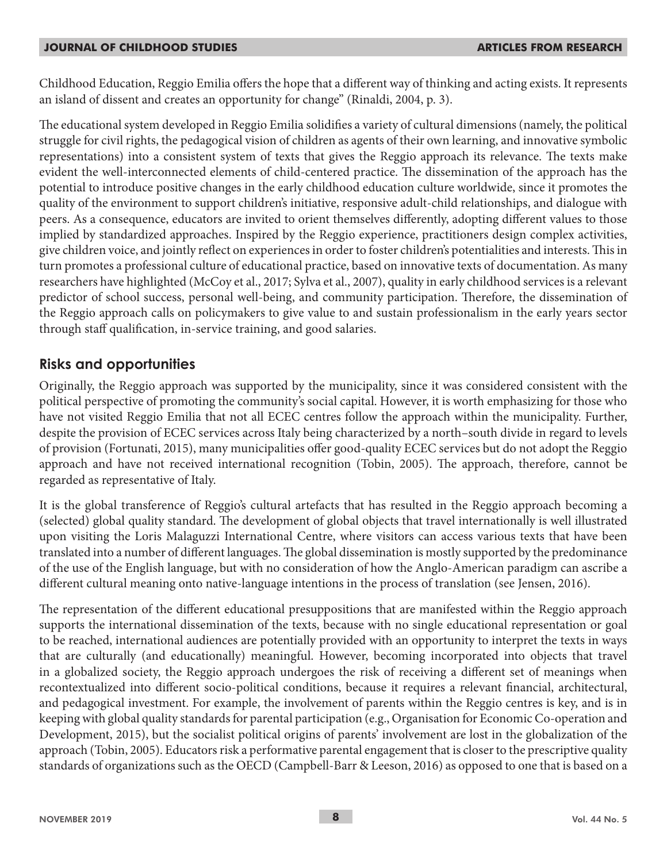Childhood Education, Reggio Emilia offers the hope that a different way of thinking and acting exists. It represents an island of dissent and creates an opportunity for change" (Rinaldi, 2004, p. 3).

The educational system developed in Reggio Emilia solidifies a variety of cultural dimensions (namely, the political struggle for civil rights, the pedagogical vision of children as agents of their own learning, and innovative symbolic representations) into a consistent system of texts that gives the Reggio approach its relevance. The texts make evident the well-interconnected elements of child-centered practice. The dissemination of the approach has the potential to introduce positive changes in the early childhood education culture worldwide, since it promotes the quality of the environment to support children's initiative, responsive adult-child relationships, and dialogue with peers. As a consequence, educators are invited to orient themselves differently, adopting different values to those implied by standardized approaches. Inspired by the Reggio experience, practitioners design complex activities, give children voice, and jointly reflect on experiences in order to foster children's potentialities and interests. This in turn promotes a professional culture of educational practice, based on innovative texts of documentation. As many researchers have highlighted (McCoy et al., 2017; Sylva et al., 2007), quality in early childhood services is a relevant predictor of school success, personal well-being, and community participation. Therefore, the dissemination of the Reggio approach calls on policymakers to give value to and sustain professionalism in the early years sector through staff qualification, in-service training, and good salaries.

### **Risks and opportunities**

Originally, the Reggio approach was supported by the municipality, since it was considered consistent with the political perspective of promoting the community's social capital. However, it is worth emphasizing for those who have not visited Reggio Emilia that not all ECEC centres follow the approach within the municipality. Further, despite the provision of ECEC services across Italy being characterized by a north–south divide in regard to levels of provision (Fortunati, 2015), many municipalities offer good-quality ECEC services but do not adopt the Reggio approach and have not received international recognition (Tobin, 2005). The approach, therefore, cannot be regarded as representative of Italy.

It is the global transference of Reggio's cultural artefacts that has resulted in the Reggio approach becoming a (selected) global quality standard. The development of global objects that travel internationally is well illustrated upon visiting the Loris Malaguzzi International Centre, where visitors can access various texts that have been translated into a number of different languages. The global dissemination is mostly supported by the predominance of the use of the English language, but with no consideration of how the Anglo-American paradigm can ascribe a different cultural meaning onto native-language intentions in the process of translation (see Jensen, 2016).

The representation of the different educational presuppositions that are manifested within the Reggio approach supports the international dissemination of the texts, because with no single educational representation or goal to be reached, international audiences are potentially provided with an opportunity to interpret the texts in ways that are culturally (and educationally) meaningful. However, becoming incorporated into objects that travel in a globalized society, the Reggio approach undergoes the risk of receiving a different set of meanings when recontextualized into different socio-political conditions, because it requires a relevant financial, architectural, and pedagogical investment. For example, the involvement of parents within the Reggio centres is key, and is in keeping with global quality standards for parental participation (e.g., Organisation for Economic Co-operation and Development, 2015), but the socialist political origins of parents' involvement are lost in the globalization of the approach (Tobin, 2005). Educators risk a performative parental engagement that is closer to the prescriptive quality standards of organizations such as the OECD (Campbell-Barr & Leeson, 2016) as opposed to one that is based on a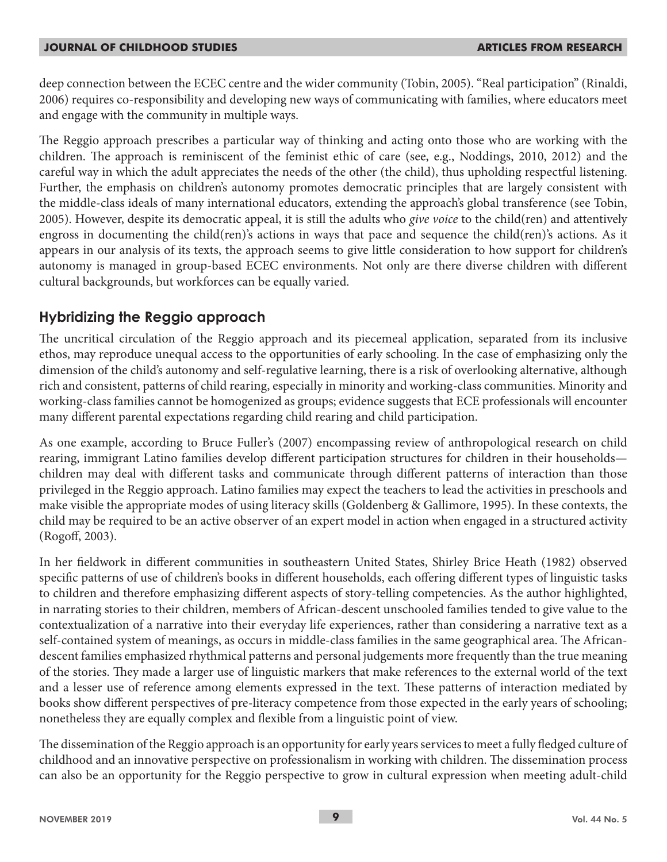deep connection between the ECEC centre and the wider community (Tobin, 2005). "Real participation" (Rinaldi, 2006) requires co-responsibility and developing new ways of communicating with families, where educators meet and engage with the community in multiple ways.

The Reggio approach prescribes a particular way of thinking and acting onto those who are working with the children. The approach is reminiscent of the feminist ethic of care (see, e.g., Noddings, 2010, 2012) and the careful way in which the adult appreciates the needs of the other (the child), thus upholding respectful listening. Further, the emphasis on children's autonomy promotes democratic principles that are largely consistent with the middle-class ideals of many international educators, extending the approach's global transference (see Tobin, 2005). However, despite its democratic appeal, it is still the adults who *give voice* to the child(ren) and attentively engross in documenting the child(ren)'s actions in ways that pace and sequence the child(ren)'s actions. As it appears in our analysis of its texts, the approach seems to give little consideration to how support for children's autonomy is managed in group-based ECEC environments. Not only are there diverse children with different cultural backgrounds, but workforces can be equally varied.

# **Hybridizing the Reggio approach**

The uncritical circulation of the Reggio approach and its piecemeal application, separated from its inclusive ethos, may reproduce unequal access to the opportunities of early schooling. In the case of emphasizing only the dimension of the child's autonomy and self-regulative learning, there is a risk of overlooking alternative, although rich and consistent, patterns of child rearing, especially in minority and working-class communities. Minority and working-class families cannot be homogenized as groups; evidence suggests that ECE professionals will encounter many different parental expectations regarding child rearing and child participation.

As one example, according to Bruce Fuller's (2007) encompassing review of anthropological research on child rearing, immigrant Latino families develop different participation structures for children in their households children may deal with different tasks and communicate through different patterns of interaction than those privileged in the Reggio approach. Latino families may expect the teachers to lead the activities in preschools and make visible the appropriate modes of using literacy skills (Goldenberg & Gallimore, 1995). In these contexts, the child may be required to be an active observer of an expert model in action when engaged in a structured activity (Rogoff, 2003).

In her fieldwork in different communities in southeastern United States, Shirley Brice Heath (1982) observed specific patterns of use of children's books in different households, each offering different types of linguistic tasks to children and therefore emphasizing different aspects of story-telling competencies. As the author highlighted, in narrating stories to their children, members of African-descent unschooled families tended to give value to the contextualization of a narrative into their everyday life experiences, rather than considering a narrative text as a self-contained system of meanings, as occurs in middle-class families in the same geographical area. The Africandescent families emphasized rhythmical patterns and personal judgements more frequently than the true meaning of the stories. They made a larger use of linguistic markers that make references to the external world of the text and a lesser use of reference among elements expressed in the text. These patterns of interaction mediated by books show different perspectives of pre-literacy competence from those expected in the early years of schooling; nonetheless they are equally complex and flexible from a linguistic point of view.

The dissemination of the Reggio approach is an opportunity for early years services to meet a fully fledged culture of childhood and an innovative perspective on professionalism in working with children. The dissemination process can also be an opportunity for the Reggio perspective to grow in cultural expression when meeting adult-child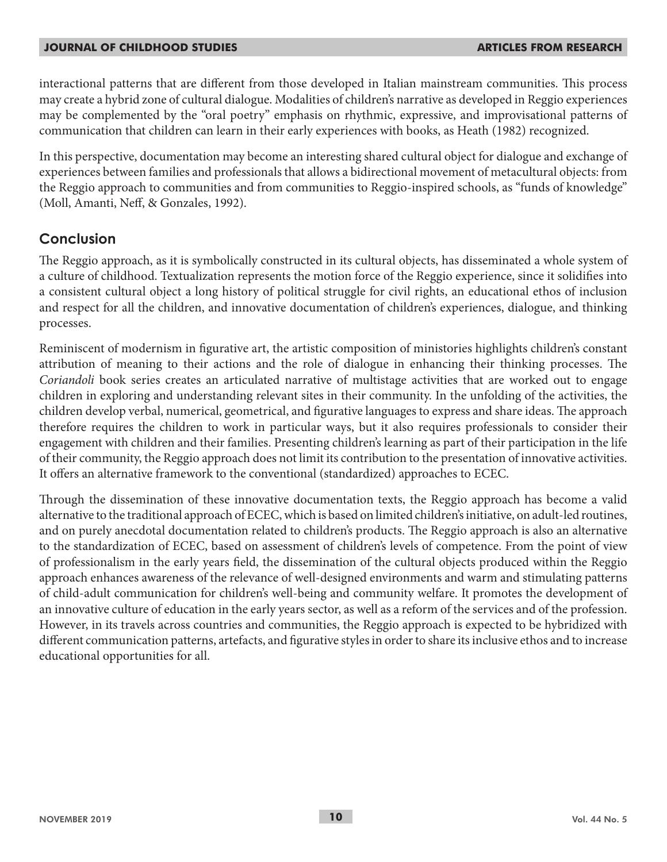interactional patterns that are different from those developed in Italian mainstream communities. This process may create a hybrid zone of cultural dialogue. Modalities of children's narrative as developed in Reggio experiences may be complemented by the "oral poetry" emphasis on rhythmic, expressive, and improvisational patterns of communication that children can learn in their early experiences with books, as Heath (1982) recognized.

In this perspective, documentation may become an interesting shared cultural object for dialogue and exchange of experiences between families and professionals that allows a bidirectional movement of metacultural objects: from the Reggio approach to communities and from communities to Reggio-inspired schools, as "funds of knowledge" (Moll, Amanti, Neff, & Gonzales, 1992).

### **Conclusion**

The Reggio approach, as it is symbolically constructed in its cultural objects, has disseminated a whole system of a culture of childhood. Textualization represents the motion force of the Reggio experience, since it solidifies into a consistent cultural object a long history of political struggle for civil rights, an educational ethos of inclusion and respect for all the children, and innovative documentation of children's experiences, dialogue, and thinking processes.

Reminiscent of modernism in figurative art, the artistic composition of ministories highlights children's constant attribution of meaning to their actions and the role of dialogue in enhancing their thinking processes. The *Coriandoli* book series creates an articulated narrative of multistage activities that are worked out to engage children in exploring and understanding relevant sites in their community. In the unfolding of the activities, the children develop verbal, numerical, geometrical, and figurative languages to express and share ideas. The approach therefore requires the children to work in particular ways, but it also requires professionals to consider their engagement with children and their families. Presenting children's learning as part of their participation in the life of their community, the Reggio approach does not limit its contribution to the presentation of innovative activities. It offers an alternative framework to the conventional (standardized) approaches to ECEC.

Through the dissemination of these innovative documentation texts, the Reggio approach has become a valid alternative to the traditional approach of ECEC, which is based on limited children's initiative, on adult-led routines, and on purely anecdotal documentation related to children's products. The Reggio approach is also an alternative to the standardization of ECEC, based on assessment of children's levels of competence. From the point of view of professionalism in the early years field, the dissemination of the cultural objects produced within the Reggio approach enhances awareness of the relevance of well-designed environments and warm and stimulating patterns of child-adult communication for children's well-being and community welfare. It promotes the development of an innovative culture of education in the early years sector, as well as a reform of the services and of the profession. However, in its travels across countries and communities, the Reggio approach is expected to be hybridized with different communication patterns, artefacts, and figurative styles in order to share its inclusive ethos and to increase educational opportunities for all.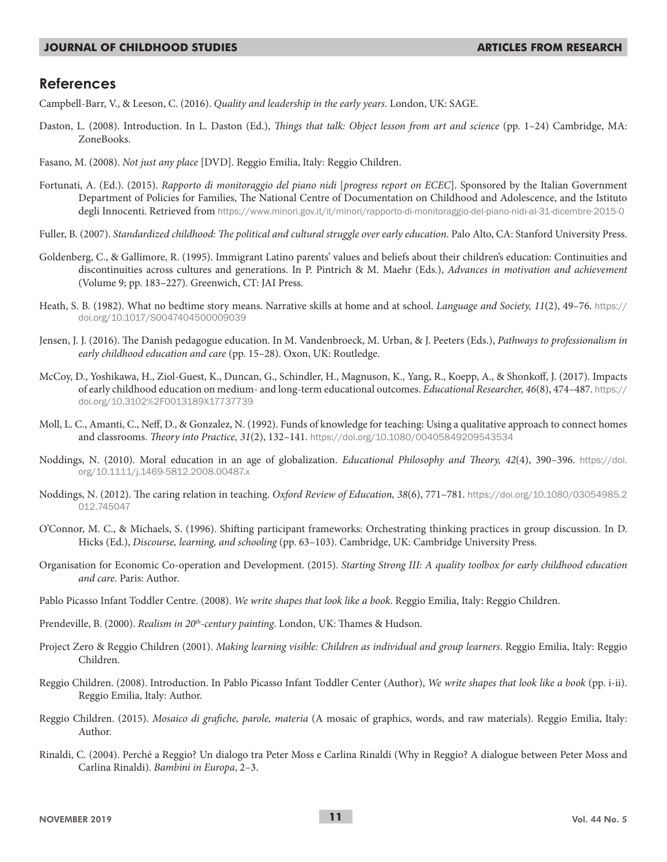### **References**

Campbell-Barr, V., & Leeson, C. (2016). *Quality and leadership in the early years*. London, UK: SAGE.

- Daston, L. (2008). Introduction. In L. Daston (Ed.), *Things that talk: Object lesson from art and science* (pp. 1–24) Cambridge, MA: ZoneBooks.
- Fasano, M. (2008). *Not just any place* [DVD]. Reggio Emilia, Italy: Reggio Children.
- Fortunati, A. (Ed.). (2015). *Rapporto di monitoraggio del piano nidi* [*progress report on ECEC*]. Sponsored by the Italian Government Department of Policies for Families, The National Centre of Documentation on Childhood and Adolescence, and the Istituto degli Innocenti. Retrieved from https://www.minori.gov.it/it/minori/rapporto-di-monitoraggio-del-piano-nidi-al-31-dicembre-2015-0
- Fuller, B. (2007). *Standardized childhood: The political and cultural struggle over early education*. Palo Alto, CA: Stanford University Press.
- Goldenberg, C., & Gallimore, R. (1995). Immigrant Latino parents' values and beliefs about their children's education: Continuities and discontinuities across cultures and generations. In P. Pintrich & M. Maehr (Eds.), *Advances in motivation and achievement* (Volume 9; pp. 183–227). Greenwich, CT: JAI Press.
- Heath, S. B. (1982). What no bedtime story means. Narrative skills at home and at school. *Language and Society, 11*(2), 49–76. https:// doi.org/10.1017/S0047404500009039
- Jensen, J. J. (2016). The Danish pedagogue education. In M. Vandenbroeck, M. Urban, & J. Peeters (Eds.), *Pathways to professionalism in early childhood education and care* (pp. 15–28). Oxon, UK: Routledge.
- McCoy, D., Yoshikawa, H., Ziol-Guest, K., Duncan, G., Schindler, H., Magnuson, K., Yang, R., Koepp, A., & Shonkoff, J. (2017). Impacts of early childhood education on medium- and long-term educational outcomes. *Educational Researcher, 46*(8), 474–487. https:// doi.org/10.3102%2F0013189X17737739
- Moll, L. C., Amanti, C., Neff, D., & Gonzalez, N. (1992). Funds of knowledge for teaching: Using a qualitative approach to connect homes and classrooms. *Theory into Practice, 31*(2), 132–141. https://doi.org/10.1080/00405849209543534
- Noddings, N. (2010). Moral education in an age of globalization. *Educational Philosophy and Theory, 42*(4), 390–396. https://doi. org/10.1111/j.1469-5812.2008.00487.x
- Noddings, N. (2012). The caring relation in teaching. *Oxford Review of Education, 38*(6), 771–781. https://doi.org/10.1080/03054985.2 012.745047
- O'Connor, M. C., & Michaels, S. (1996). Shifting participant frameworks: Orchestrating thinking practices in group discussion. In D. Hicks (Ed.), *Discourse, learning, and schooling* (pp. 63–103). Cambridge, UK: Cambridge University Press.
- Organisation for Economic Co-operation and Development. (2015). *Starting Strong III: A quality toolbox for early childhood education and care*. Paris: Author.
- Pablo Picasso Infant Toddler Centre. (2008). *We write shapes that look like a book*. Reggio Emilia, Italy: Reggio Children.
- Prendeville, B. (2000). *Realism in 20th-century painting*. London, UK: Thames & Hudson.
- Project Zero & Reggio Children (2001). *Making learning visible: Children as individual and group learners*. Reggio Emilia, Italy: Reggio Children.
- Reggio Children. (2008). Introduction. In Pablo Picasso Infant Toddler Center (Author), *We write shapes that look like a book* (pp. i-ii). Reggio Emilia, Italy: Author.
- Reggio Children. (2015). *Mosaico di grafiche, parole, materia* (A mosaic of graphics, words, and raw materials). Reggio Emilia, Italy: Author.
- Rinaldi, C. (2004). Perché a Reggio? Un dialogo tra Peter Moss e Carlina Rinaldi (Why in Reggio? A dialogue between Peter Moss and Carlina Rinaldi). *Bambini in Europa*, 2–3.